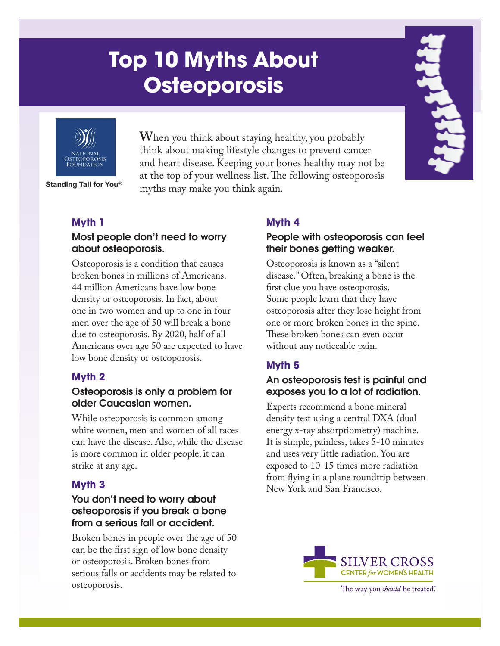# **Top 10 Myths About Osteoporosis**



**W**hen you think about staying healthy, you probably think about making lifestyle changes to prevent cancer and heart disease. Keeping your bones healthy may not be at the top of your wellness list. The following osteoporosis myths may make you think again. **Standing Tall for You®**

# **Myth 1**

# Most people don't need to worry about osteoporosis.

Osteoporosis is a condition that causes broken bones in millions of Americans. 44 million Americans have low bone density or osteoporosis. In fact, about one in two women and up to one in four men over the age of 50 will break a bone due to osteoporosis. By 2020, half of all Americans over age 50 are expected to have low bone density or osteoporosis.

# **Myth 2**

## Osteoporosis is only a problem for older Caucasian women.

While osteoporosis is common among white women, men and women of all races can have the disease. Also, while the disease is more common in older people, it can strike at any age.

# **Myth 3**

## You don't need to worry about osteoporosis if you break a bone from a serious fall or accident.

Broken bones in people over the age of 50 can be the first sign of low bone density or osteoporosis. Broken bones from serious falls or accidents may be related to osteoporosis.

# **Myth 4**

## People with osteoporosis can feel their bones getting weaker.

Osteoporosis is known as a "silent disease." Often, breaking a bone is the first clue you have osteoporosis. Some people learn that they have osteoporosis after they lose height from one or more broken bones in the spine. These broken bones can even occur without any noticeable pain.

# **Myth 5**

## An osteoporosis test is painful and exposes you to a lot of radiation.

Experts recommend a bone mineral density test using a central DXA (dual energy x-ray absorptiometry) machine. It is simple, painless, takes 5-10 minutes and uses very little radiation. You are exposed to 10-15 times more radiation from flying in a plane roundtrip between New York and San Francisco.



The way you *should* be treated.